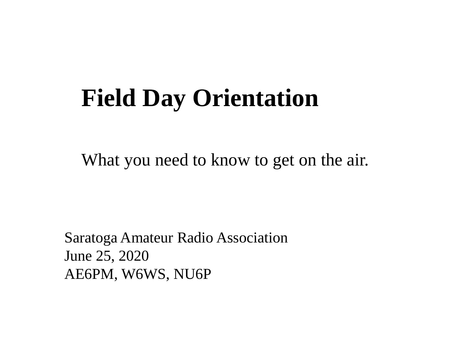# **Field Day Orientation**

What you need to know to get on the air.

Saratoga Amateur Radio Association June 25, 2020 AE6PM, W6WS, NU6P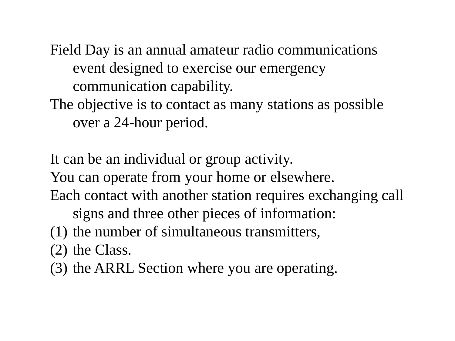Field Day is an annual amateur radio communications event designed to exercise our emergency communication capability.

The objective is to contact as many stations as possible over a 24-hour period.

It can be an individual or group activity.

You can operate from your home or elsewhere.

Each contact with another station requires exchanging call

signs and three other pieces of information:

(1) the number of simultaneous transmitters,

(2) the Class.

(3) the ARRL Section where you are operating.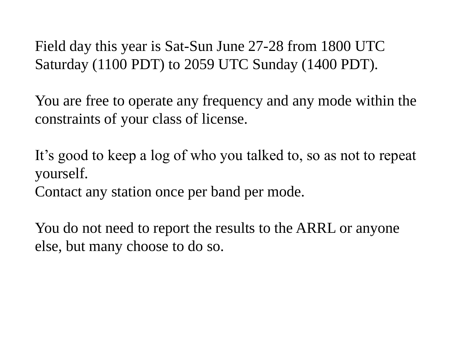Field day this year is Sat-Sun June 27-28 from 1800 UTC Saturday (1100 PDT) to 2059 UTC Sunday (1400 PDT).

You are free to operate any frequency and any mode within the constraints of your class of license.

It's good to keep a log of who you talked to, so as not to repeat yourself.

Contact any station once per band per mode.

You do not need to report the results to the ARRL or anyone else, but many choose to do so.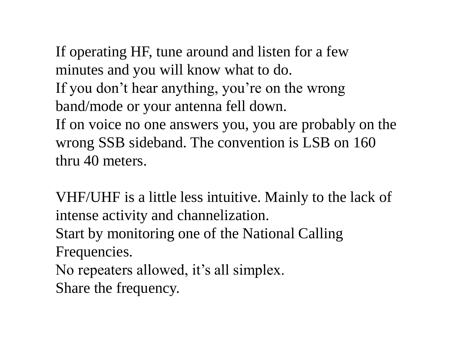If operating HF, tune around and listen for a few minutes and you will know what to do. If you don't hear anything, you're on the wrong band/mode or your antenna fell down. If on voice no one answers you, you are probably on the wrong SSB sideband. The convention is LSB on 160 thru 40 meters.

VHF/UHF is a little less intuitive. Mainly to the lack of intense activity and channelization. Start by monitoring one of the National Calling Frequencies. No repeaters allowed, it's all simplex. Share the frequency.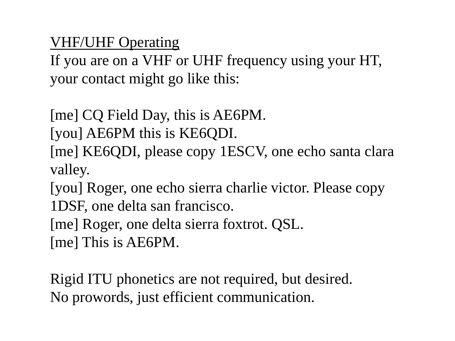VHF/UHF Operating

If you are on a VHF or UHF frequency using your HT, your contact might go like this:

[me] CQ Field Day, this is AE6PM.

[you] AE6PM this is KE6QDI. [me] KE6QDI, please copy 1ESCV, one echo santa clara valley.

[you] Roger, one echo sierra charlie victor. Please copy 1DSF, one delta san francisco.

[me] Roger, one delta sierra foxtrot. QSL. [me] This is AE6PM.

Rigid ITU phonetics are not required, but desired. No prowords, just efficient communication.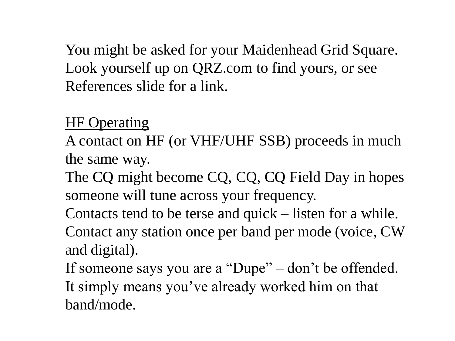You might be asked for your Maidenhead Grid Square. Look yourself up on QRZ.com to find yours, or see References slide for a link.

#### HF Operating

A contact on HF (or VHF/UHF SSB) proceeds in much the same way.

The CQ might become CQ, CQ, CQ Field Day in hopes someone will tune across your frequency.

Contacts tend to be terse and quick – listen for a while. Contact any station once per band per mode (voice, CW and digital).

If someone says you are a "Dupe" – don't be offended. It simply means you've already worked him on that band/mode.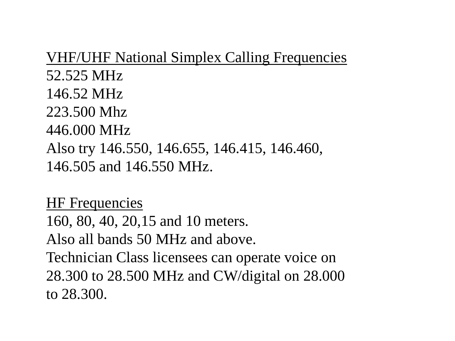VHF/UHF National Simplex Calling Frequencies 52.525 MHz 146.52 MHz 223.500 Mhz 446.000 MHz Also try 146.550, 146.655, 146.415, 146.460, 146.505 and 146.550 MHz.

**HF** Frequencies 160, 80, 40, 20,15 and 10 meters. Also all bands 50 MHz and above. Technician Class licensees can operate voice on 28.300 to 28.500 MHz and CW/digital on 28.000 to 28.300.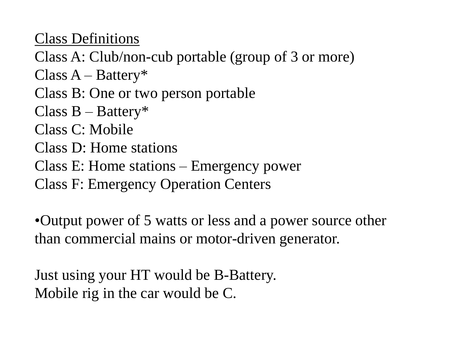Class Definitions

Class A: Club/non-cub portable (group of 3 or more)

 $Class A - Battery*$ 

Class B: One or two person portable

Class  $B - B$ attery\*

Class C: Mobile

Class D: Home stations

Class E: Home stations – Emergency power

Class F: Emergency Operation Centers

•Output power of 5 watts or less and a power source other than commercial mains or motor-driven generator.

Just using your HT would be B-Battery. Mobile rig in the car would be C.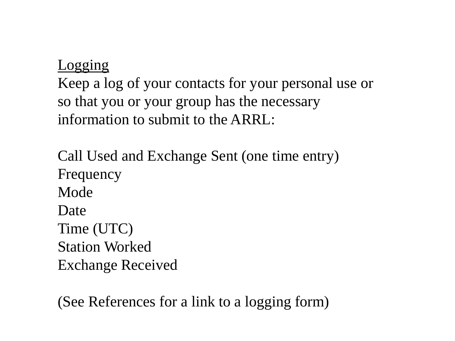#### Logging

Keep a log of your contacts for your personal use or so that you or your group has the necessary information to submit to the ARRL:

Call Used and Exchange Sent (one time entry) Frequency Mode Date Time (UTC) Station Worked Exchange Received

(See References for a link to a logging form)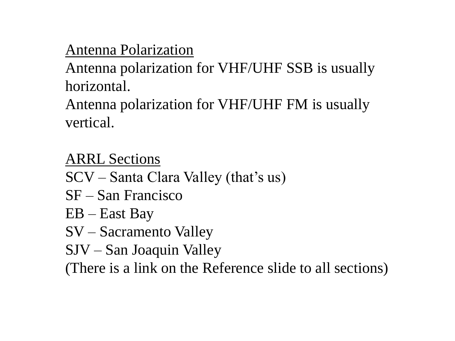## Antenna Polarization

Antenna polarization for VHF/UHF SSB is usually horizontal.

Antenna polarization for VHF/UHF FM is usually vertical.

ARRL Sections

- SCV Santa Clara Valley (that's us)
- SF San Francisco
- EB East Bay
- SV Sacramento Valley
- SJV San Joaquin Valley

(There is a link on the Reference slide to all sections)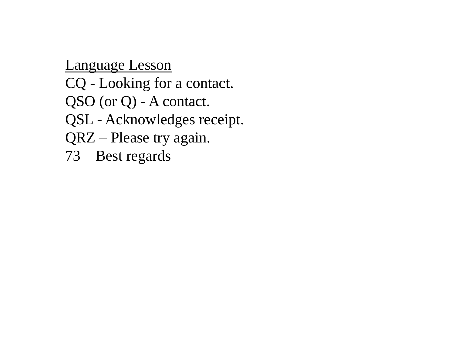Language Lesson CQ - Looking for a contact. QSO (or Q) - A contact. QSL - Acknowledges receipt. QRZ – Please try again. 73 – Best regards